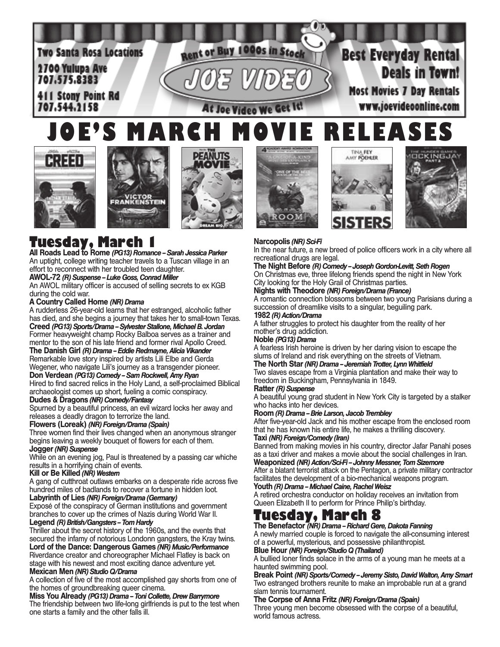

# **JOE'S MARCH MOVIE RELEASES**













### **Narcopolis** *(NR) Sci-Fi*

In the near future, a new breed of police officers work in a city where all recreational drugs are legal.

**The Night Before** *(R) Comedy -- Joseph Gordon-Levitt, Seth Rogen* On Christmas eve, three lifelong friends spend the night in New York City looking for the Holy Grail of Christmas parties.

**Nights with Theodore** *(NR) Foreign/Drama (France)*

A romantic connection blossoms between two young Parisians during a succession of dreamlike visits to a singular, beguiling park. **1982** *(R) Action/Drama*

A father struggles to protect his daughter from the reality of her mother's drug addiction.

#### **Noble** *(PG13) Drama*

A fearless Irish heroine is driven by her daring vision to escape the slums of Ireland and risk everything on the streets of Vietnam.

**The North Star** *(NR) Drama -- Jeremiah Trotter, Lynn Whitfield*  Two slaves escape from a Virginia plantation and make their way to

freedom in Buckingham, Pennsylvania in 1849.

#### **Ratter** *(R) Suspense*

A beautiful young grad student in New York City is targeted by a stalker who hacks into her devices.

#### **Room** *(R) Drama -- Brie Larson, Jacob Trembley*

After five-year-old Jack and his mother escape from the enclosed room that he has known his entire life, he makes a thrilling discovery. **Taxi** *(NR) Foreign/Comedy (Iran)*

Banned from making movies in his country, director Jafar Panahi poses as a taxi driver and makes a movie about the social challenges in Iran.

**Weaponized** *(NR) Action/Sci-Fi -- Johnny Messner, Tom Sizemore* After a blatant terrorist attack on the Pentagon, a private military contractor facilitates the development of a bio-mechanical weapons program. **Youth** *(R) Drama -- Michael Caine, Rachel Weisz*

A retired orchestra conductor on holiday receives an invitation from Queen Elizabeth II to perform for Prince Philip's birthday.

**Tuesday, March 8 The Benefactor** *(NR) Drama -- Richard Gere, Dakota Fanning*

A newly married couple is forced to navigate the all-consuming interest of a powerful, mysterious, and possessive philanthropist.

#### **Blue Hour** *(NR) Foreign/Studio Q (Thailand)*

A bullied loner finds solace in the arms of a young man he meets at a haunted swimming pool.

**Break Point** *(NR) Sports/Comedy -- Jeremy Sisto, David Walton, Amy Smart* Two estranged brothers reunite to make an improbable run at a grand slam tennis tournament.

#### **The Corpse of Anna Fritz** *(NR) Foreign/Drama (Spain)*

Three young men become obsessed with the corpse of a beautiful, world famous actress.

# **Tuesday, March 1 All Roads Lead to Rome** *(PG13) Romance -- Sarah Jessica Parker*

An uptight, college writing teacher travels to a Tuscan village in an effort to reconnect with her troubled teen daughter.

#### **AWOL-72** *(R) Suspense -- Luke Goss, Conrad Miller*

An AWOL military officer is accused of selling secrets to ex KGB during the cold war.

#### **A Country Called Home** *(NR) Drama*

A rudderless 26-year-old learns that her estranged, alcoholic father has died, and she begins a journey that takes her to small-town Texas. **Creed** *(PG13) Sports/Drama -- Sylvester Stallone, Michael B. Jordan*

Former heavyweight champ Rocky Balboa serves as a trainer and mentor to the son of his late friend and former rival Apollo Creed. **The Danish Girl** *(R) Drama -- Eddie Redmayne, Alicia Vikander*

Remarkable love story inspired by artists Lili Elbe and Gerda Wegener, who navigate Lili's journey as a transgender pioneer.

**Don Verdean** *(PG13) Comedy -- Sam Rockwell, Amy Ryan* Hired to find sacred relics in the Holy Land, a self-proclaimed Biblical

archaeologist comes up short, fueling a comic conspiracy.

## **Dudes & Dragons** *(NR) Comedy/Fantasy*

Spurned by a beautiful princess, an evil wizard locks her away and releases a deadly dragon to terrorize the land.

#### **Flowers (Loreak)** *(NR) Foreign/Drama (Spain)*

Three women find their lives changed when an anonymous stranger begins leaving a weekly bouquet of flowers for each of them. **Jogger** *(NR) Suspense*

While on an evening jog, Paul is threatened by a passing car whiche results in a horrifying chain of events.

### **Kill or Be Killed** *(NR) Western*

A gang of cutthroat outlaws embarks on a desperate ride across five hundred miles of badlands to recover a fortune in hidden loot.

### **Labyrinth of Lies** *(NR) Foreign/Drama (Germany)*

Exposé of the conspiracy of German institutions and government branches to cover up the crimes of Nazis during World War II.

# **Legend** *(R) British/Gangsters -- Tom Hardy*

Thriller about the secret history of the 1960s, and the events that secured the infamy of notorious Londonn gangsters, the Kray twins. **Lord of the Dance: Dangerous Games** *(NR) Music/Performance* Riverdance creator and choreographer Michael Flatley is back on stage with his newest and most exciting dance adventure yet.

#### **Mexican Men** *(NR) Studio Q/Drama*

A collection of five of the most accomplished gay shorts from one of the homes of groundbreaking queer cinema.

#### **Miss You Already** *(PG13) Drama -- Toni Collette, Drew Barrymore*

The friendship between two life-long girlfriends is put to the test when one starts a family and the other falls ill.